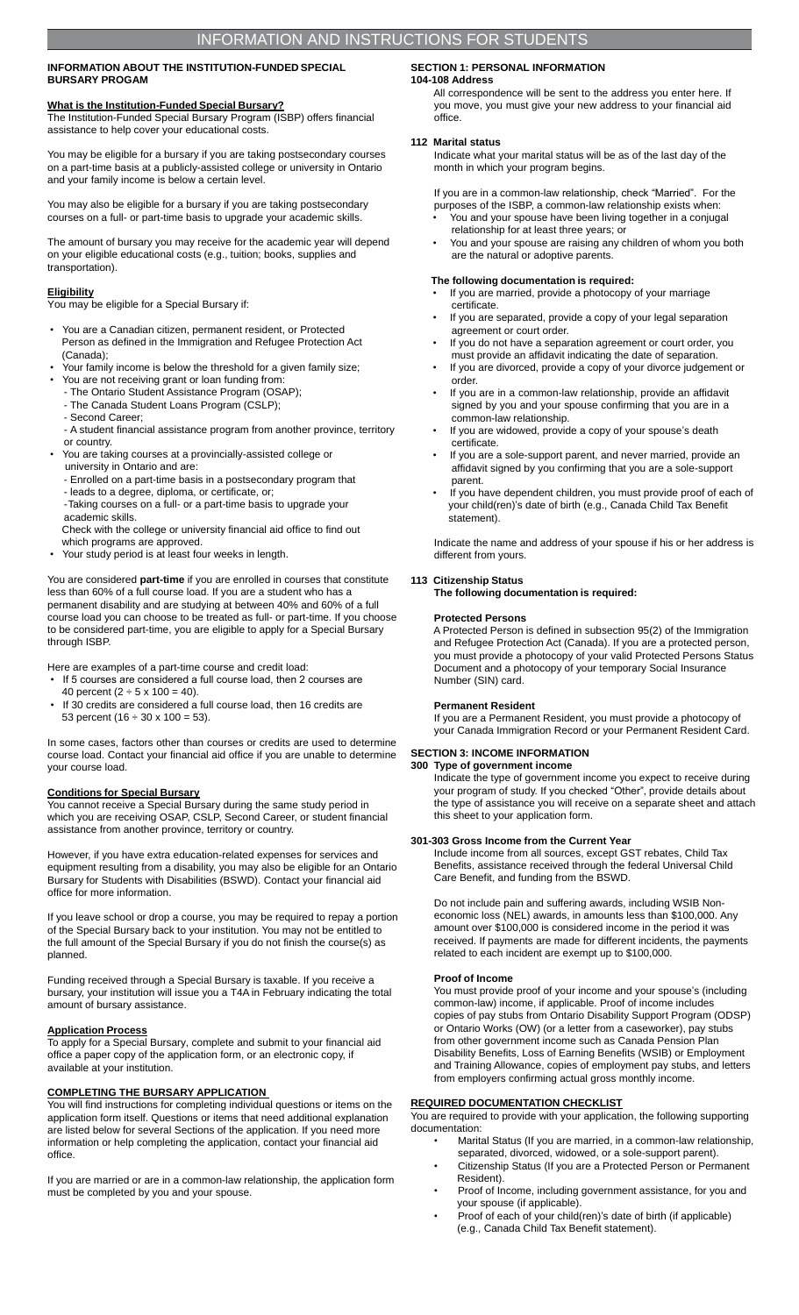#### **INFORMATION ABOUT THE INSTITUTION-FUNDED SPECIAL BURSARY PROGAM**

# **What is the Institution-Funded Special Bursary?**

The Institution-Funded Special Bursary Program (ISBP) offers financial assistance to help cover your educational costs.

You may be eligible for a bursary if you are taking postsecondary courses on a part-time basis at a publicly-assisted college or university in Ontario and your family income is below a certain level.

You may also be eligible for a bursary if you are taking postsecondary courses on a full- or part-time basis to upgrade your academic skills.

The amount of bursary you may receive for the academic year will depend on your eligible educational costs (e.g., tuition; books, supplies and transportation).

#### **Eligibility**

You may be eligible for a Special Bursary if:

- You are a Canadian citizen, permanent resident, or Protected Person as defined in the Immigration and Refugee Protection Act (Canada);
- Your family income is below the threshold for a given family size;
- You are not receiving grant or loan funding from:
- The Ontario Student Assistance Program (OSAP); - The Canada Student Loans Program (CSLP);
- Second Career;
- A student financial assistance program from another province, territory or country.
- You are taking courses at a provincially-assisted college or
- university in Ontario and are: - Enrolled on a part-time basis in a postsecondary program that
- leads to a degree, diploma, or certificate, or;
- -Taking courses on a full- or a part-time basis to upgrade your academic skills.

Check with the college or university financial aid office to find out which programs are approved.

Your study period is at least four weeks in length.

You are considered **part-time** if you are enrolled in courses that constitute less than 60% of a full course load. If you are a student who has a permanent disability and are studying at between 40% and 60% of a full course load you can choose to be treated as full- or part-time. If you choose to be considered part-time, you are eligible to apply for a Special Bursary through ISBP.

Here are examples of a part-time course and credit load:

- If 5 courses are considered a full course load, then 2 courses are 40 percent ( $2 \div 5 \times 100 = 40$ ).
- If 30 credits are considered a full course load, then 16 credits are 53 percent (16  $\div$  30 x 100 = 53).

In some cases, factors other than courses or credits are used to determine course load. Contact your financial aid office if you are unable to determine your course load.

#### **Conditions for Special Bursary**

You cannot receive a Special Bursary during the same study period in which you are receiving OSAP, CSLP, Second Career, or student financial assistance from another province, territory or country.

However, if you have extra education-related expenses for services and equipment resulting from a disability, you may also be eligible for an Ontario Bursary for Students with Disabilities (BSWD). Contact your financial aid office for more information.

If you leave school or drop a course, you may be required to repay a portion of the Special Bursary back to your institution. You may not be entitled to the full amount of the Special Bursary if you do not finish the course(s) as planned.

Funding received through a Special Bursary is taxable. If you receive a bursary, your institution will issue you a T4A in February indicating the total amount of bursary assistance.

#### **Application Process**

To apply for a Special Bursary, complete and submit to your financial aid office a paper copy of the application form, or an electronic copy, if available at your institution.

#### **COMPLETING THE BURSARY APPLICATION**

You will find instructions for completing individual questions or items on the application form itself. Questions or items that need additional explanation are listed below for several Sections of the application. If you need more information or help completing the application, contact your financial aid office.

If you are married or are in a common-law relationship, the application form must be completed by you and your spouse.

# **SECTION 1: PERSONAL INFORMATION**

#### **104-108 Address**

All correspondence will be sent to the address you enter here. If you move, you must give your new address to your financial aid office.

#### **112 Marital status**

Indicate what your marital status will be as of the last day of the month in which your program begins.

If you are in a common-law relationship, check "Married". For the purposes of the ISBP, a common-law relationship exists when: • You and your spouse have been living together in a conjugal relationship for at least three years; or

• You and your spouse are raising any children of whom you both are the natural or adoptive parents.

#### **The following documentation is required:**

- If you are married, provide a photocopy of your marriage certificate.
- If you are separated, provide a copy of your legal separation agreement or court order.
- If you do not have a separation agreement or court order, you must provide an affidavit indicating the date of separation.
- If you are divorced, provide a copy of your divorce judgement or order.
- If you are in a common-law relationship, provide an affidavit signed by you and your spouse confirming that you are in a common-law relationship.
- If you are widowed, provide a copy of your spouse's death certificate.
- If you are a sole-support parent, and never married, provide an affidavit signed by you confirming that you are a sole-support parent.
- If you have dependent children, you must provide proof of each of your child(ren)'s date of birth (e.g., Canada Child Tax Benefit statement).

Indicate the name and address of your spouse if his or her address is different from yours.

#### **113 Citizenship Status**

**The following documentation is required:**

#### **Protected Persons**

A Protected Person is defined in subsection 95(2) of the Immigration and Refugee Protection Act (Canada). If you are a protected person, you must provide a photocopy of your valid Protected Persons Status Document and a photocopy of your temporary Social Insurance Number (SIN) card.

#### **Permanent Resident**

If you are a Permanent Resident, you must provide a photocopy of your Canada Immigration Record or your Permanent Resident Card.

## **SECTION 3: INCOME INFORMATION**

**300 Type of government income** Indicate the type of government income you expect to receive during your program of study. If you checked "Other", provide details about the type of assistance you will receive on a separate sheet and attach this sheet to your application form.

#### **301-303 Gross Income from the Current Year**

Include income from all sources, except GST rebates, Child Tax Benefits, assistance received through the federal Universal Child Care Benefit, and funding from the BSWD.

Do not include pain and suffering awards, including WSIB Noneconomic loss (NEL) awards, in amounts less than \$100,000. Any amount over \$100,000 is considered income in the period it was received. If payments are made for different incidents, the payments related to each incident are exempt up to \$100,000.

#### **Proof of Income**

You must provide proof of your income and your spouse's (including common-law) income, if applicable. Proof of income includes copies of pay stubs from Ontario Disability Support Program (ODSP) or Ontario Works (OW) (or a letter from a caseworker), pay stubs from other government income such as Canada Pension Plan Disability Benefits, Loss of Earning Benefits (WSIB) or Employment and Training Allowance, copies of employment pay stubs, and letters from employers confirming actual gross monthly income.

#### **REQUIRED DOCUMENTATION CHECKLIST**

You are required to provide with your application, the following supporting documentation:

- Marital Status (If you are married, in a common-law relationship, separated, divorced, widowed, or a sole-support parent).
- Citizenship Status (If you are a Protected Person or Permanent Resident).
- Proof of Income, including government assistance, for you and your spouse (if applicable).
- Proof of each of your child(ren)'s date of birth (if applicable) (e.g., Canada Child Tax Benefit statement).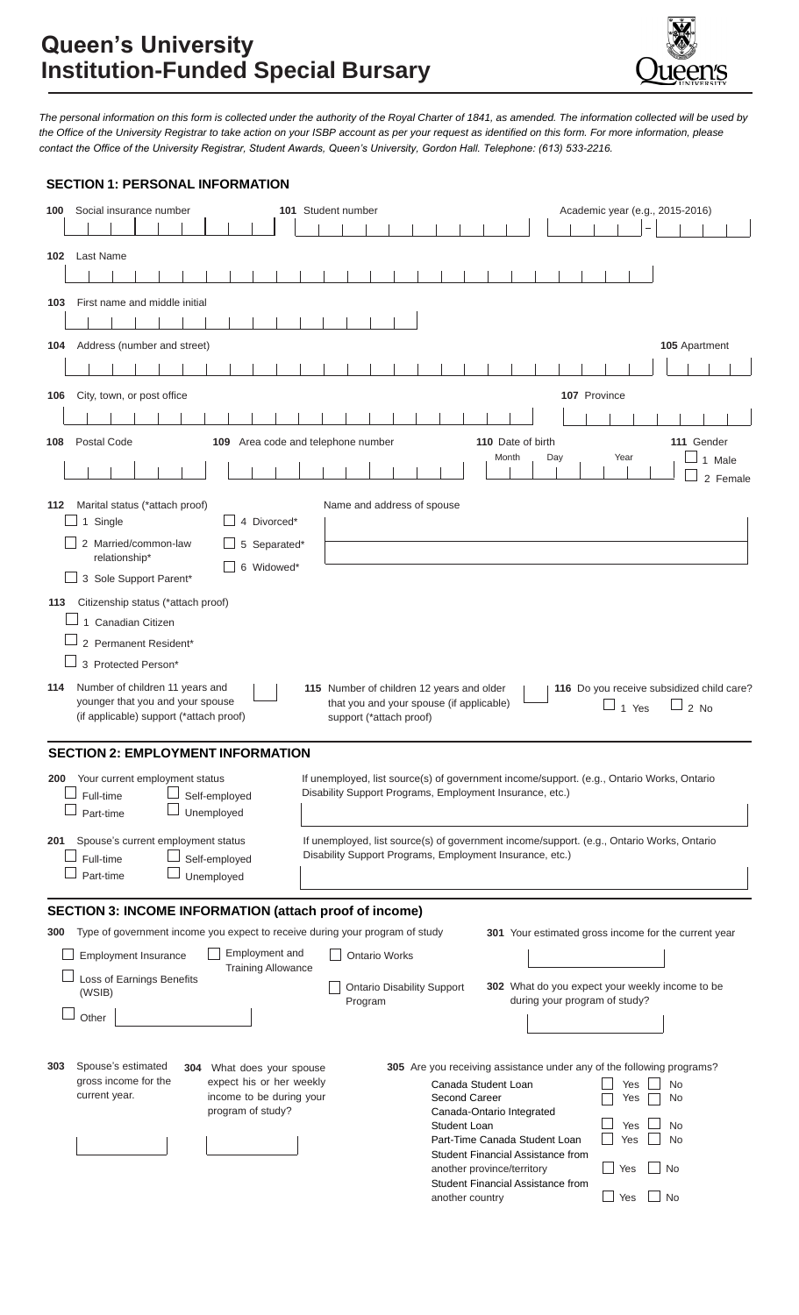

*The personal information on this form is collected under the authority of the Royal Charter of 1841, as amended. The information collected will be used by the Office of the University Registrar to take action on your ISBP account as per your request as identified on this form. For more information, please contact the Office of the University Registrar, Student Awards, Queen's University, Gordon Hall. Telephone: (613) 533-2216.*

| 100 | Social insurance number                                                          |               |  |  |                             |  |                                    |  |                          | 101 Student number |  |         |                                                                     |  |              |                                                                |                 |                                                                                                                                                       |  |  |     |  |              |                               |            | Academic year (e.g., 2015-2016) |      |                                                      |  |
|-----|----------------------------------------------------------------------------------|---------------|--|--|-----------------------------|--|------------------------------------|--|--------------------------|--------------------|--|---------|---------------------------------------------------------------------|--|--------------|----------------------------------------------------------------|-----------------|-------------------------------------------------------------------------------------------------------------------------------------------------------|--|--|-----|--|--------------|-------------------------------|------------|---------------------------------|------|------------------------------------------------------|--|
|     |                                                                                  |               |  |  |                             |  |                                    |  |                          |                    |  |         |                                                                     |  |              |                                                                |                 |                                                                                                                                                       |  |  |     |  |              |                               |            |                                 |      |                                                      |  |
|     | 102 Last Name                                                                    |               |  |  |                             |  |                                    |  |                          |                    |  |         |                                                                     |  |              |                                                                |                 |                                                                                                                                                       |  |  |     |  |              |                               |            |                                 |      |                                                      |  |
|     |                                                                                  |               |  |  |                             |  |                                    |  |                          |                    |  |         |                                                                     |  |              |                                                                |                 |                                                                                                                                                       |  |  |     |  |              |                               |            |                                 |      |                                                      |  |
| 103 | First name and middle initial                                                    |               |  |  |                             |  |                                    |  |                          |                    |  |         |                                                                     |  |              |                                                                |                 |                                                                                                                                                       |  |  |     |  |              |                               |            |                                 |      |                                                      |  |
|     |                                                                                  |               |  |  |                             |  |                                    |  |                          |                    |  |         |                                                                     |  |              |                                                                |                 |                                                                                                                                                       |  |  |     |  |              |                               |            |                                 |      |                                                      |  |
| 104 | Address (number and street)                                                      |               |  |  |                             |  |                                    |  |                          |                    |  |         |                                                                     |  |              |                                                                |                 |                                                                                                                                                       |  |  |     |  |              |                               |            |                                 |      | 105 Apartment                                        |  |
|     |                                                                                  |               |  |  |                             |  |                                    |  |                          |                    |  |         |                                                                     |  |              |                                                                |                 |                                                                                                                                                       |  |  |     |  |              |                               |            |                                 |      |                                                      |  |
| 106 | City, town, or post office                                                       |               |  |  |                             |  |                                    |  |                          |                    |  |         |                                                                     |  |              |                                                                |                 |                                                                                                                                                       |  |  |     |  | 107 Province |                               |            |                                 |      |                                                      |  |
|     |                                                                                  |               |  |  |                             |  |                                    |  |                          |                    |  |         |                                                                     |  |              |                                                                |                 |                                                                                                                                                       |  |  |     |  |              |                               |            |                                 |      |                                                      |  |
| 108 | <b>Postal Code</b>                                                               |               |  |  |                             |  | 109 Area code and telephone number |  |                          |                    |  |         |                                                                     |  |              |                                                                |                 | 110 Date of birth                                                                                                                                     |  |  |     |  |              |                               |            |                                 |      | 111 Gender                                           |  |
|     |                                                                                  |               |  |  |                             |  |                                    |  |                          |                    |  |         |                                                                     |  |              |                                                                |                 | Month                                                                                                                                                 |  |  | Day |  |              | Year                          |            |                                 |      | 1 Male                                               |  |
|     |                                                                                  |               |  |  |                             |  |                                    |  |                          |                    |  |         |                                                                     |  |              |                                                                |                 |                                                                                                                                                       |  |  |     |  |              |                               |            |                                 |      | 2 Female                                             |  |
| 112 | Marital status (*attach proof)                                                   |               |  |  |                             |  |                                    |  |                          |                    |  |         | Name and address of spouse                                          |  |              |                                                                |                 |                                                                                                                                                       |  |  |     |  |              |                               |            |                                 |      |                                                      |  |
|     | 1 Single                                                                         |               |  |  |                             |  | 4 Divorced*                        |  |                          |                    |  |         |                                                                     |  |              |                                                                |                 |                                                                                                                                                       |  |  |     |  |              |                               |            |                                 |      |                                                      |  |
|     | 2 Married/common-law                                                             | relationship* |  |  |                             |  | 5 Separated*                       |  |                          |                    |  |         |                                                                     |  |              |                                                                |                 |                                                                                                                                                       |  |  |     |  |              |                               |            |                                 |      |                                                      |  |
|     | 3 Sole Support Parent*                                                           |               |  |  |                             |  | 6 Widowed*                         |  |                          |                    |  |         |                                                                     |  |              |                                                                |                 |                                                                                                                                                       |  |  |     |  |              |                               |            |                                 |      |                                                      |  |
| 113 | Citizenship status (*attach proof)                                               |               |  |  |                             |  |                                    |  |                          |                    |  |         |                                                                     |  |              |                                                                |                 |                                                                                                                                                       |  |  |     |  |              |                               |            |                                 |      |                                                      |  |
|     | 1 Canadian Citizen                                                               |               |  |  |                             |  |                                    |  |                          |                    |  |         |                                                                     |  |              |                                                                |                 |                                                                                                                                                       |  |  |     |  |              |                               |            |                                 |      |                                                      |  |
|     | 2 Permanent Resident*                                                            |               |  |  |                             |  |                                    |  |                          |                    |  |         |                                                                     |  |              |                                                                |                 |                                                                                                                                                       |  |  |     |  |              |                               |            |                                 |      |                                                      |  |
|     | 3 Protected Person*                                                              |               |  |  |                             |  |                                    |  |                          |                    |  |         |                                                                     |  |              |                                                                |                 |                                                                                                                                                       |  |  |     |  |              |                               |            |                                 |      |                                                      |  |
| 114 | Number of children 11 years and                                                  |               |  |  |                             |  |                                    |  |                          |                    |  |         | 115 Number of children 12 years and older                           |  |              |                                                                |                 |                                                                                                                                                       |  |  |     |  |              |                               |            |                                 |      | 116 Do you receive subsidized child care?            |  |
|     | younger that you and your spouse<br>(if applicable) support (*attach proof)      |               |  |  |                             |  |                                    |  |                          |                    |  |         | that you and your spouse (if applicable)<br>support (*attach proof) |  |              |                                                                |                 |                                                                                                                                                       |  |  |     |  |              | $\overline{\phantom{a}}$      | 1 Yes      |                                 | 2 No |                                                      |  |
|     |                                                                                  |               |  |  |                             |  |                                    |  |                          |                    |  |         |                                                                     |  |              |                                                                |                 |                                                                                                                                                       |  |  |     |  |              |                               |            |                                 |      |                                                      |  |
|     | <b>SECTION 2: EMPLOYMENT INFORMATION</b>                                         |               |  |  |                             |  |                                    |  |                          |                    |  |         |                                                                     |  |              |                                                                |                 |                                                                                                                                                       |  |  |     |  |              |                               |            |                                 |      |                                                      |  |
| 200 | Your current employment status                                                   |               |  |  |                             |  |                                    |  |                          |                    |  |         |                                                                     |  |              |                                                                |                 | If unemployed, list source(s) of government income/support. (e.g., Ontario Works, Ontario                                                             |  |  |     |  |              |                               |            |                                 |      |                                                      |  |
|     | Full-time                                                                        |               |  |  | Self-employed               |  |                                    |  |                          |                    |  |         |                                                                     |  |              |                                                                |                 | Disability Support Programs, Employment Insurance, etc.)                                                                                              |  |  |     |  |              |                               |            |                                 |      |                                                      |  |
|     | Part-time                                                                        |               |  |  | Unemployed                  |  |                                    |  |                          |                    |  |         |                                                                     |  |              |                                                                |                 |                                                                                                                                                       |  |  |     |  |              |                               |            |                                 |      |                                                      |  |
| 201 | Spouse's current employment status                                               |               |  |  |                             |  |                                    |  |                          |                    |  |         |                                                                     |  |              |                                                                |                 | If unemployed, list source(s) of government income/support. (e.g., Ontario Works, Ontario<br>Disability Support Programs, Employment Insurance, etc.) |  |  |     |  |              |                               |            |                                 |      |                                                      |  |
|     | Full-time<br>Part-time                                                           |               |  |  | Self-employed<br>Unemployed |  |                                    |  |                          |                    |  |         |                                                                     |  |              |                                                                |                 |                                                                                                                                                       |  |  |     |  |              |                               |            |                                 |      |                                                      |  |
|     |                                                                                  |               |  |  |                             |  |                                    |  |                          |                    |  |         |                                                                     |  |              |                                                                |                 |                                                                                                                                                       |  |  |     |  |              |                               |            |                                 |      |                                                      |  |
|     | <b>SECTION 3: INCOME INFORMATION (attach proof of income)</b>                    |               |  |  |                             |  |                                    |  |                          |                    |  |         |                                                                     |  |              |                                                                |                 |                                                                                                                                                       |  |  |     |  |              |                               |            |                                 |      |                                                      |  |
|     | 300 Type of government income you expect to receive during your program of study |               |  |  |                             |  |                                    |  |                          |                    |  |         |                                                                     |  |              |                                                                |                 |                                                                                                                                                       |  |  |     |  |              |                               |            |                                 |      | 301 Your estimated gross income for the current year |  |
|     | <b>Employment Insurance</b>                                                      |               |  |  |                             |  | Employment and                     |  |                          |                    |  |         | <b>Ontario Works</b>                                                |  |              |                                                                |                 |                                                                                                                                                       |  |  |     |  |              |                               |            |                                 |      |                                                      |  |
|     | Loss of Earnings Benefits                                                        |               |  |  |                             |  | <b>Training Allowance</b>          |  |                          |                    |  |         | <b>Ontario Disability Support</b>                                   |  |              |                                                                |                 | 302 What do you expect your weekly income to be                                                                                                       |  |  |     |  |              |                               |            |                                 |      |                                                      |  |
|     | (WSIB)                                                                           |               |  |  |                             |  |                                    |  |                          |                    |  | Program |                                                                     |  |              |                                                                |                 |                                                                                                                                                       |  |  |     |  |              | during your program of study? |            |                                 |      |                                                      |  |
|     | Other                                                                            |               |  |  |                             |  |                                    |  |                          |                    |  |         |                                                                     |  |              |                                                                |                 |                                                                                                                                                       |  |  |     |  |              |                               |            |                                 |      |                                                      |  |
|     |                                                                                  |               |  |  |                             |  |                                    |  |                          |                    |  |         |                                                                     |  |              |                                                                |                 |                                                                                                                                                       |  |  |     |  |              |                               |            |                                 |      |                                                      |  |
| 303 | Spouse's estimated                                                               |               |  |  | 304 What does your spouse   |  |                                    |  |                          |                    |  |         |                                                                     |  |              |                                                                |                 | 305 Are you receiving assistance under any of the following programs?                                                                                 |  |  |     |  |              |                               |            |                                 |      |                                                      |  |
|     | gross income for the                                                             |               |  |  |                             |  |                                    |  | expect his or her weekly |                    |  |         |                                                                     |  |              | Canada Student Loan<br>Yes<br>No<br>Second Career<br>No<br>Yes |                 |                                                                                                                                                       |  |  |     |  |              |                               |            |                                 |      |                                                      |  |
|     | current year.<br>income to be during your<br>program of study?                   |               |  |  |                             |  |                                    |  |                          |                    |  |         |                                                                     |  |              |                                                                |                 | Canada-Ontario Integrated                                                                                                                             |  |  |     |  |              |                               |            |                                 |      |                                                      |  |
|     |                                                                                  |               |  |  |                             |  |                                    |  |                          |                    |  |         |                                                                     |  | Student Loan |                                                                |                 | Part-Time Canada Student Loan                                                                                                                         |  |  |     |  |              |                               | Yes<br>Yes | <b>No</b><br><b>No</b>          |      |                                                      |  |
|     |                                                                                  |               |  |  |                             |  |                                    |  |                          |                    |  |         |                                                                     |  |              |                                                                |                 | Student Financial Assistance from                                                                                                                     |  |  |     |  |              |                               |            |                                 |      |                                                      |  |
|     |                                                                                  |               |  |  |                             |  |                                    |  |                          |                    |  |         |                                                                     |  |              |                                                                |                 | another province/territory<br>Student Financial Assistance from                                                                                       |  |  |     |  |              | Yes                           |            | <b>No</b>                       |      |                                                      |  |
|     |                                                                                  |               |  |  |                             |  |                                    |  |                          |                    |  |         |                                                                     |  |              |                                                                | another country |                                                                                                                                                       |  |  |     |  |              | Yes                           |            | No                              |      |                                                      |  |